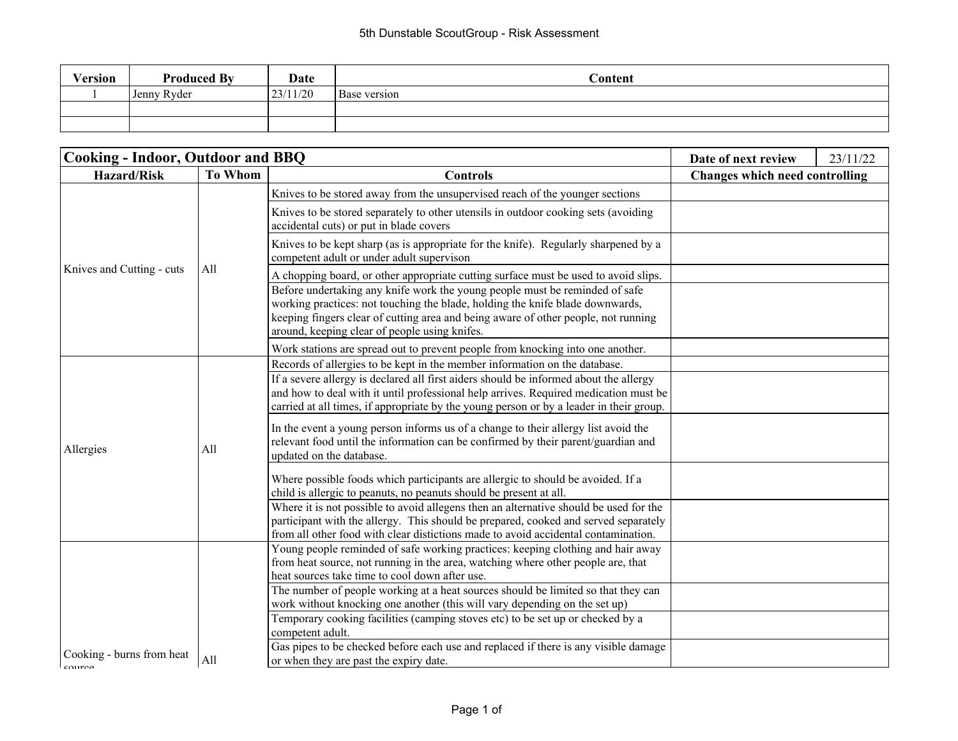| Version | <b>Produced By</b> | Date     | Content             |
|---------|--------------------|----------|---------------------|
|         | Jenny Ryder        | 23/11/20 | <b>Base</b> version |
|         |                    |          |                     |
|         |                    |          |                     |

| <b>Cooking - Indoor, Outdoor and BBQ</b>        |                |                                                                                                                                                                                                                                                                                                     | Date of next review                   | 23/11/22 |
|-------------------------------------------------|----------------|-----------------------------------------------------------------------------------------------------------------------------------------------------------------------------------------------------------------------------------------------------------------------------------------------------|---------------------------------------|----------|
| <b>Hazard/Risk</b>                              | <b>To Whom</b> | <b>Controls</b>                                                                                                                                                                                                                                                                                     | <b>Changes which need controlling</b> |          |
|                                                 | All            | Knives to be stored away from the unsupervised reach of the younger sections                                                                                                                                                                                                                        |                                       |          |
|                                                 |                | Knives to be stored separately to other utensils in outdoor cooking sets (avoiding<br>accidental cuts) or put in blade covers                                                                                                                                                                       |                                       |          |
|                                                 |                | Knives to be kept sharp (as is appropriate for the knife). Regularly sharpened by a<br>competent adult or under adult supervison                                                                                                                                                                    |                                       |          |
| Knives and Cutting - cuts                       |                | A chopping board, or other appropriate cutting surface must be used to avoid slips.                                                                                                                                                                                                                 |                                       |          |
|                                                 |                | Before undertaking any knife work the young people must be reminded of safe<br>working practices: not touching the blade, holding the knife blade downwards,<br>keeping fingers clear of cutting area and being aware of other people, not running<br>around, keeping clear of people using knifes. |                                       |          |
|                                                 |                | Work stations are spread out to prevent people from knocking into one another.                                                                                                                                                                                                                      |                                       |          |
|                                                 | All            | Records of allergies to be kept in the member information on the database.                                                                                                                                                                                                                          |                                       |          |
|                                                 |                | If a severe allergy is declared all first aiders should be informed about the allergy<br>and how to deal with it until professional help arrives. Required medication must be<br>carried at all times, if appropriate by the young person or by a leader in their group.                            |                                       |          |
| Allergies                                       |                | In the event a young person informs us of a change to their allergy list avoid the<br>relevant food until the information can be confirmed by their parent/guardian and<br>updated on the database.                                                                                                 |                                       |          |
|                                                 |                | Where possible foods which participants are allergic to should be avoided. If a<br>child is allergic to peanuts, no peanuts should be present at all.                                                                                                                                               |                                       |          |
|                                                 |                | Where it is not possible to avoid allegens then an alternative should be used for the<br>participant with the allergy. This should be prepared, cooked and served separately<br>from all other food with clear distictions made to avoid accidental contamination.                                  |                                       |          |
|                                                 |                | Young people reminded of safe working practices: keeping clothing and hair away<br>from heat source, not running in the area, watching where other people are, that<br>heat sources take time to cool down after use.                                                                               |                                       |          |
|                                                 |                | The number of people working at a heat sources should be limited so that they can<br>work without knocking one another (this will vary depending on the set up)                                                                                                                                     |                                       |          |
|                                                 |                | Temporary cooking facilities (camping stoves etc) to be set up or checked by a<br>competent adult.                                                                                                                                                                                                  |                                       |          |
| Cooking - burns from heat<br>$_{\text{Coulro}}$ | All            | Gas pipes to be checked before each use and replaced if there is any visible damage<br>or when they are past the expiry date.                                                                                                                                                                       |                                       |          |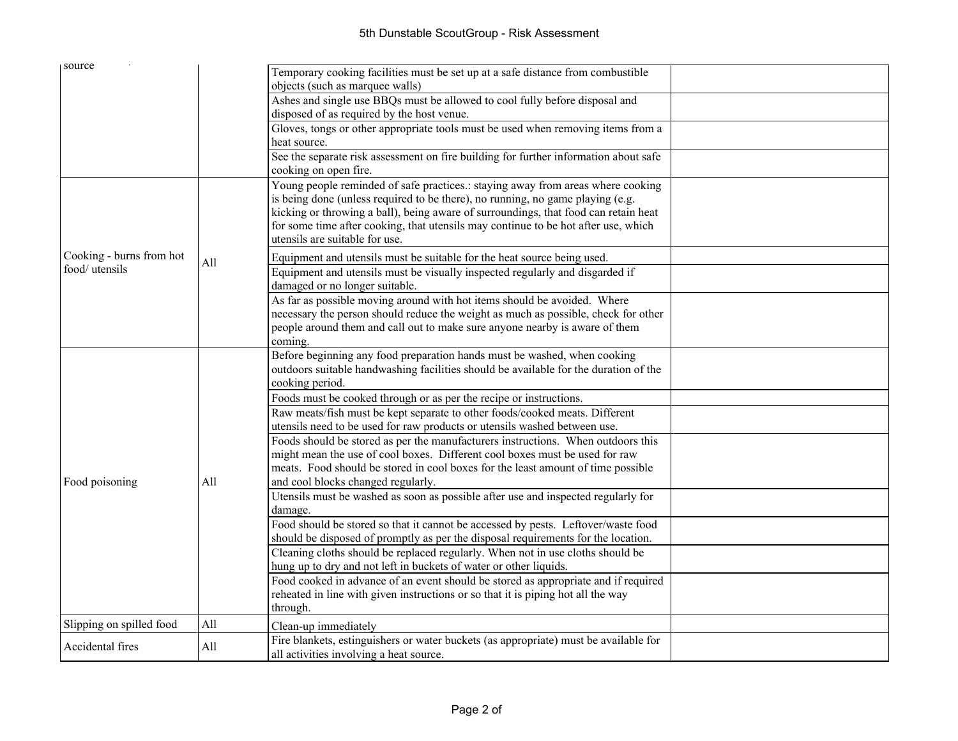| source                                     |     |                                                                                                                                                                                                                                                                                                                                                                                  |  |
|--------------------------------------------|-----|----------------------------------------------------------------------------------------------------------------------------------------------------------------------------------------------------------------------------------------------------------------------------------------------------------------------------------------------------------------------------------|--|
|                                            |     | Temporary cooking facilities must be set up at a safe distance from combustible<br>objects (such as marquee walls)                                                                                                                                                                                                                                                               |  |
|                                            |     | Ashes and single use BBQs must be allowed to cool fully before disposal and<br>disposed of as required by the host venue.                                                                                                                                                                                                                                                        |  |
|                                            |     | Gloves, tongs or other appropriate tools must be used when removing items from a<br>heat source.                                                                                                                                                                                                                                                                                 |  |
|                                            |     | See the separate risk assessment on fire building for further information about safe<br>cooking on open fire.                                                                                                                                                                                                                                                                    |  |
|                                            |     | Young people reminded of safe practices.: staying away from areas where cooking<br>is being done (unless required to be there), no running, no game playing (e.g.<br>kicking or throwing a ball), being aware of surroundings, that food can retain heat<br>for some time after cooking, that utensils may continue to be hot after use, which<br>utensils are suitable for use. |  |
| Cooking - burns from hot<br>food/ utensils | All | Equipment and utensils must be suitable for the heat source being used.                                                                                                                                                                                                                                                                                                          |  |
|                                            |     | Equipment and utensils must be visually inspected regularly and disgarded if<br>damaged or no longer suitable.                                                                                                                                                                                                                                                                   |  |
|                                            | All | As far as possible moving around with hot items should be avoided. Where<br>necessary the person should reduce the weight as much as possible, check for other<br>people around them and call out to make sure anyone nearby is aware of them<br>coming.                                                                                                                         |  |
|                                            |     | Before beginning any food preparation hands must be washed, when cooking<br>outdoors suitable handwashing facilities should be available for the duration of the<br>cooking period.                                                                                                                                                                                              |  |
|                                            |     | Foods must be cooked through or as per the recipe or instructions.                                                                                                                                                                                                                                                                                                               |  |
|                                            |     | Raw meats/fish must be kept separate to other foods/cooked meats. Different<br>utensils need to be used for raw products or utensils washed between use.                                                                                                                                                                                                                         |  |
| Food poisoning                             |     | Foods should be stored as per the manufacturers instructions. When outdoors this<br>might mean the use of cool boxes. Different cool boxes must be used for raw<br>meats. Food should be stored in cool boxes for the least amount of time possible<br>and cool blocks changed regularly.                                                                                        |  |
|                                            |     | Utensils must be washed as soon as possible after use and inspected regularly for<br>damage.                                                                                                                                                                                                                                                                                     |  |
|                                            |     | Food should be stored so that it cannot be accessed by pests. Leftover/waste food<br>should be disposed of promptly as per the disposal requirements for the location.                                                                                                                                                                                                           |  |
|                                            |     | Cleaning cloths should be replaced regularly. When not in use cloths should be<br>hung up to dry and not left in buckets of water or other liquids.                                                                                                                                                                                                                              |  |
|                                            |     | Food cooked in advance of an event should be stored as appropriate and if required<br>reheated in line with given instructions or so that it is piping hot all the way<br>through.                                                                                                                                                                                               |  |
| Slipping on spilled food                   | All | Clean-up immediately                                                                                                                                                                                                                                                                                                                                                             |  |
| Accidental fires                           | All | Fire blankets, estinguishers or water buckets (as appropriate) must be available for<br>all activities involving a heat source.                                                                                                                                                                                                                                                  |  |